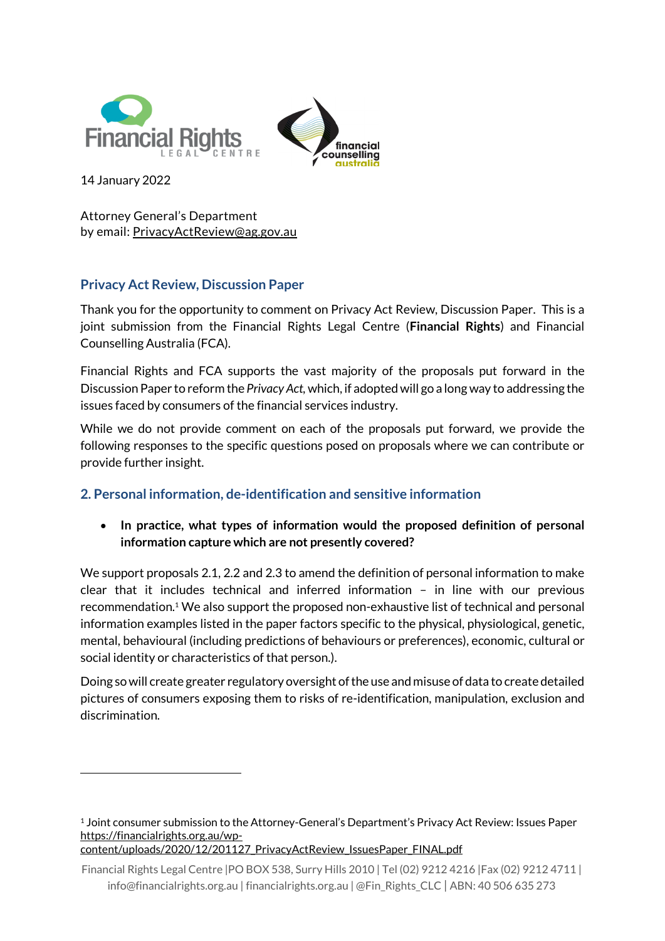



14 January 2022

1

Attorney General's Department by email: [PrivacyActReview@ag.gov.au](mailto:PrivacyActReview@ag.gov.au)

# **Privacy Act Review, Discussion Paper**

Thank you for the opportunity to comment on Privacy Act Review, Discussion Paper. This is a joint submission from the Financial Rights Legal Centre (**Financial Rights**) and Financial Counselling Australia (FCA).

Financial Rights and FCA supports the vast majority of the proposals put forward in the Discussion Paper to reform the *Privacy Act,* which, if adopted will go a long way to addressing the issues faced by consumers of the financial services industry.

While we do not provide comment on each of the proposals put forward, we provide the following responses to the specific questions posed on proposals where we can contribute or provide further insight.

# **2. Personal information, de-identification and sensitive information**

 **In practice, what types of information would the proposed definition of personal information capture which are not presently covered?**

We support proposals 2.1, 2.2 and 2.3 to amend the definition of personal information to make clear that it includes technical and inferred information – in line with our previous recommendation.<sup>1</sup> We also support the proposed non-exhaustive list of technical and personal information examples listed in the paper factors specific to the physical, physiological, genetic, mental, behavioural (including predictions of behaviours or preferences), economic, cultural or social identity or characteristics of that person.).

Doing so will create greater regulatory oversight of the use and misuse of data to create detailed pictures of consumers exposing them to risks of re-identification, manipulation, exclusion and discrimination.

<sup>1</sup> Joint consumer submission to the Attorney-General's Department's Privacy Act Review: Issues Paper [https://financialrights.org.au/wp](https://financialrights.org.au/wp-content/uploads/2020/12/201127_PrivacyActReview_IssuesPaper_FINAL.pdf)[content/uploads/2020/12/201127\\_PrivacyActReview\\_IssuesPaper\\_FINAL.pdf](https://financialrights.org.au/wp-content/uploads/2020/12/201127_PrivacyActReview_IssuesPaper_FINAL.pdf)

Financial Rights Legal Centre |PO BOX 538, Surry Hills 2010 | Tel (02) 9212 4216 |Fax (02) 9212 4711 | info@financialrights.org.au | financialrights.org.au | @Fin\_Rights\_CLC | ABN: 40 506 635 273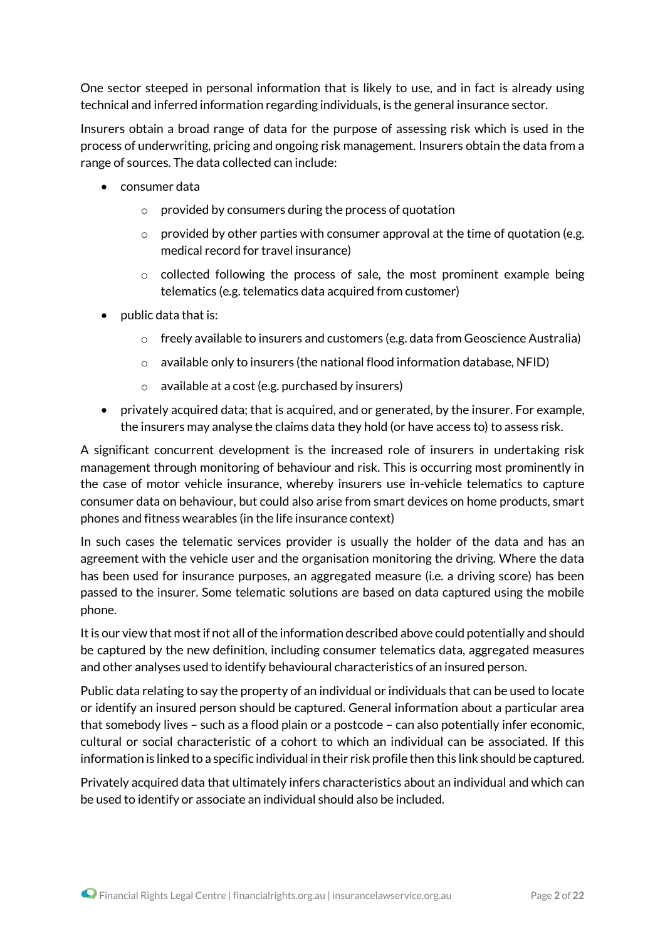One sector steeped in personal information that is likely to use, and in fact is already using technical and inferred information regarding individuals, is the general insurance sector.

Insurers obtain a broad range of data for the purpose of assessing risk which is used in the process of underwriting, pricing and ongoing risk management. Insurers obtain the data from a range of sources. The data collected can include:

- consumer data
	- o provided by consumers during the process of quotation
	- provided by other parties with consumer approval at the time of quotation (e.g. medical record for travel insurance)
	- o collected following the process of sale, the most prominent example being telematics (e.g. telematics data acquired from customer)
- $\bullet$  public data that is:
	- $\circ$  freely available to insurers and customers (e.g. data from Geoscience Australia)
	- $\circ$  available only to insurers (the national flood information database, NFID)
	- $\circ$  available at a cost (e.g. purchased by insurers)
- privately acquired data; that is acquired, and or generated, by the insurer. For example, the insurers may analyse the claims data they hold (or have access to) to assess risk.

A significant concurrent development is the increased role of insurers in undertaking risk management through monitoring of behaviour and risk. This is occurring most prominently in the case of motor vehicle insurance, whereby insurers use in-vehicle telematics to capture consumer data on behaviour, but could also arise from smart devices on home products, smart phones and fitness wearables (in the life insurance context)

In such cases the telematic services provider is usually the holder of the data and has an agreement with the vehicle user and the organisation monitoring the driving. Where the data has been used for insurance purposes, an aggregated measure (i.e. a driving score) has been passed to the insurer. Some telematic solutions are based on data captured using the mobile phone.

It is our view that most if not all of the information described above could potentially and should be captured by the new definition, including consumer telematics data, aggregated measures and other analyses used to identify behavioural characteristics of an insured person.

Public data relating to say the property of an individual or individuals that can be used to locate or identify an insured person should be captured. General information about a particular area that somebody lives – such as a flood plain or a postcode – can also potentially infer economic, cultural or social characteristic of a cohort to which an individual can be associated. If this information is linked to a specific individual in their risk profile then this link should be captured.

Privately acquired data that ultimately infers characteristics about an individual and which can be used to identify or associate an individual should also be included.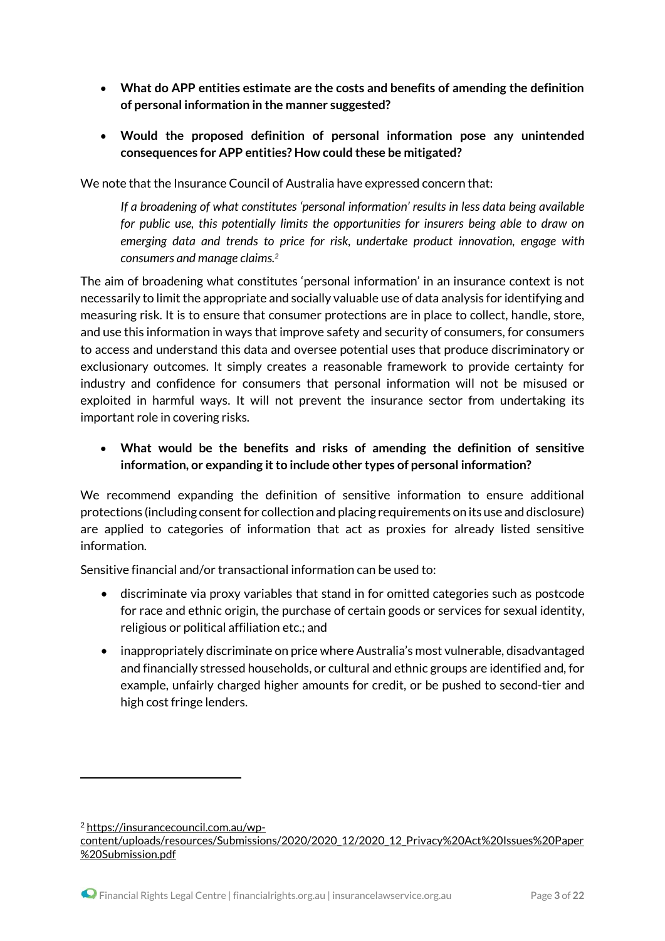- **What do APP entities estimate are the costs and benefits of amending the definition of personal information in the manner suggested?**
- **Would the proposed definition of personal information pose any unintended consequences for APP entities? How could these be mitigated?**

We note that the Insurance Council of Australia have expressed concern that:

*If a broadening of what constitutes 'personal information' results in less data being available for public use, this potentially limits the opportunities for insurers being able to draw on emerging data and trends to price for risk, undertake product innovation, engage with consumers and manage claims.<sup>2</sup>*

The aim of broadening what constitutes 'personal information' in an insurance context is not necessarily to limit the appropriate and socially valuable use of data analysis for identifying and measuring risk. It is to ensure that consumer protections are in place to collect, handle, store, and use this information in ways that improve safety and security of consumers, for consumers to access and understand this data and oversee potential uses that produce discriminatory or exclusionary outcomes. It simply creates a reasonable framework to provide certainty for industry and confidence for consumers that personal information will not be misused or exploited in harmful ways. It will not prevent the insurance sector from undertaking its important role in covering risks.

 **What would be the benefits and risks of amending the definition of sensitive information, or expanding it to include other types of personal information?**

We recommend expanding the definition of sensitive information to ensure additional protections (including consent for collection and placing requirements on its use and disclosure) are applied to categories of information that act as proxies for already listed sensitive information.

Sensitive financial and/or transactional information can be used to:

- discriminate via proxy variables that stand in for omitted categories such as postcode for race and ethnic origin, the purchase of certain goods or services for sexual identity, religious or political affiliation etc.; and
- inappropriately discriminate on price where Australia's most vulnerable, disadvantaged and financially stressed households, or cultural and ethnic groups are identified and, for example, unfairly charged higher amounts for credit, or be pushed to second-tier and high cost fringe lenders.

<sup>2</sup> [https://insurancecouncil.com.au/wp-](https://insurancecouncil.com.au/wp-content/uploads/resources/Submissions/2020/2020_12/2020_12_Privacy%20Act%20Issues%20Paper%20Submission.pdf)

[content/uploads/resources/Submissions/2020/2020\\_12/2020\\_12\\_Privacy%20Act%20Issues%20Paper](https://insurancecouncil.com.au/wp-content/uploads/resources/Submissions/2020/2020_12/2020_12_Privacy%20Act%20Issues%20Paper%20Submission.pdf) [%20Submission.pdf](https://insurancecouncil.com.au/wp-content/uploads/resources/Submissions/2020/2020_12/2020_12_Privacy%20Act%20Issues%20Paper%20Submission.pdf)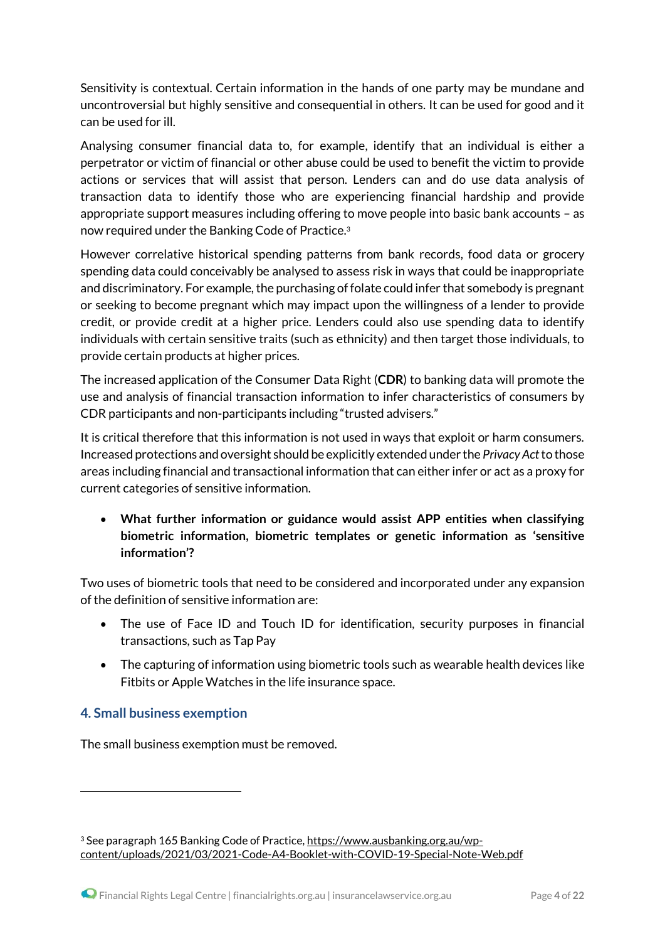Sensitivity is contextual. Certain information in the hands of one party may be mundane and uncontroversial but highly sensitive and consequential in others. It can be used for good and it can be used for ill.

Analysing consumer financial data to, for example, identify that an individual is either a perpetrator or victim of financial or other abuse could be used to benefit the victim to provide actions or services that will assist that person. Lenders can and do use data analysis of transaction data to identify those who are experiencing financial hardship and provide appropriate support measures including offering to move people into basic bank accounts – as now required under the Banking Code of Practice. 3

However correlative historical spending patterns from bank records, food data or grocery spending data could conceivably be analysed to assess risk in ways that could be inappropriate and discriminatory. For example, the purchasing of folate could infer that somebody is pregnant or seeking to become pregnant which may impact upon the willingness of a lender to provide credit, or provide credit at a higher price. Lenders could also use spending data to identify individuals with certain sensitive traits (such as ethnicity) and then target those individuals, to provide certain products at higher prices.

The increased application of the Consumer Data Right (**CDR**) to banking data will promote the use and analysis of financial transaction information to infer characteristics of consumers by CDR participants and non-participants including "trusted advisers."

It is critical therefore that this information is not used in ways that exploit or harm consumers. Increased protections and oversight should be explicitly extended under the *Privacy Act*to those areas including financial and transactional information that can either infer or act as a proxy for current categories of sensitive information.

 **What further information or guidance would assist APP entities when classifying biometric information, biometric templates or genetic information as 'sensitive information'?**

Two uses of biometric tools that need to be considered and incorporated under any expansion of the definition of sensitive information are:

- The use of Face ID and Touch ID for identification, security purposes in financial transactions, such as Tap Pay
- The capturing of information using biometric tools such as wearable health devices like Fitbits or Apple Watches in the life insurance space.

## **4. Small business exemption**

1

The small business exemption must be removed.

<sup>&</sup>lt;sup>3</sup> See paragraph 165 Banking Code of Practice, [https://www.ausbanking.org.au/wp](https://www.ausbanking.org.au/wp-content/uploads/2021/03/2021-Code-A4-Booklet-with-COVID-19-Special-Note-Web.pdf)[content/uploads/2021/03/2021-Code-A4-Booklet-with-COVID-19-Special-Note-Web.pdf](https://www.ausbanking.org.au/wp-content/uploads/2021/03/2021-Code-A4-Booklet-with-COVID-19-Special-Note-Web.pdf)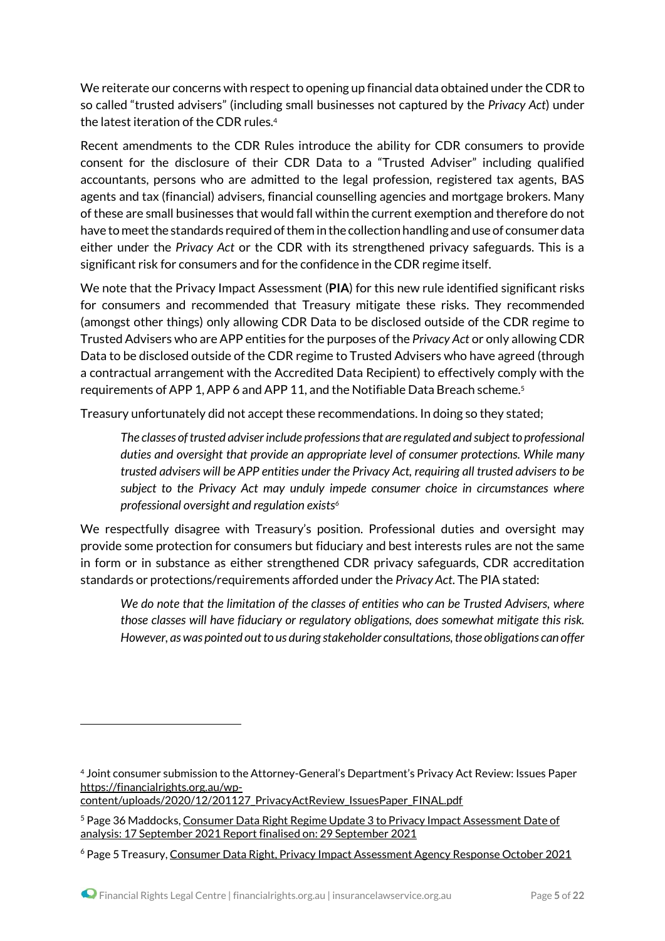We reiterate our concerns with respect to opening up financial data obtained under the CDR to so called "trusted advisers" (including small businesses not captured by the *Privacy Act*) under the latest iteration of the CDR rules.<sup>4</sup>

Recent amendments to the CDR Rules introduce the ability for CDR consumers to provide consent for the disclosure of their CDR Data to a "Trusted Adviser" including qualified accountants, persons who are admitted to the legal profession, registered tax agents, BAS agents and tax (financial) advisers, financial counselling agencies and mortgage brokers. Many of these are small businesses that would fall within the current exemption and therefore do not have to meet the standards required of them in the collection handling and use of consumer data either under the *Privacy Act* or the CDR with its strengthened privacy safeguards. This is a significant risk for consumers and for the confidence in the CDR regime itself.

We note that the Privacy Impact Assessment (**PIA**) for this new rule identified significant risks for consumers and recommended that Treasury mitigate these risks. They recommended (amongst other things) only allowing CDR Data to be disclosed outside of the CDR regime to Trusted Advisers who are APP entities for the purposes of the *Privacy Act* or only allowing CDR Data to be disclosed outside of the CDR regime to Trusted Advisers who have agreed (through a contractual arrangement with the Accredited Data Recipient) to effectively comply with the requirements of APP 1, APP 6 and APP 11, and the Notifiable Data Breach scheme.<sup>5</sup>

Treasury unfortunately did not accept these recommendations. In doing so they stated;

*The classes of trusted adviser include professions that are regulated and subject to professional duties and oversight that provide an appropriate level of consumer protections. While many trusted advisers will be APP entities under the Privacy Act, requiring all trusted advisers to be subject to the Privacy Act may unduly impede consumer choice in circumstances where professional oversight and regulation exists<sup>6</sup>*

We respectfully disagree with Treasury's position. Professional duties and oversight may provide some protection for consumers but fiduciary and best interests rules are not the same in form or in substance as either strengthened CDR privacy safeguards, CDR accreditation standards or protections/requirements afforded under the *Privacy Act*. The PIA stated:

*We do note that the limitation of the classes of entities who can be Trusted Advisers, where those classes will have fiduciary or regulatory obligations, does somewhat mitigate this risk. However, as was pointed out to us during stakeholder consultations, those obligations can offer* 

[content/uploads/2020/12/201127\\_PrivacyActReview\\_IssuesPaper\\_FINAL.pdf](https://financialrights.org.au/wp-content/uploads/2020/12/201127_PrivacyActReview_IssuesPaper_FINAL.pdf)

<sup>4</sup> Joint consumer submission to the Attorney-General's Department's Privacy Act Review: Issues Paper [https://financialrights.org.au/wp-](https://financialrights.org.au/wp-content/uploads/2020/12/201127_PrivacyActReview_IssuesPaper_FINAL.pdf)

<sup>5</sup> Page 36 Maddocks, Consumer Data Right Regime Update 3 to Privacy Impact [Assessment](https://treasury.gov.au/sites/default/files/2021-10/p2021-213006-pia-maddocks.pdf) Date of analysis: 17 September 2021 Report finalised on: 29 [September](https://treasury.gov.au/sites/default/files/2021-10/p2021-213006-pia-maddocks.pdf) 2021

<sup>6</sup> Page 5 Treasury, Consumer Data Right, Privacy Impact [Assessment](https://treasury.gov.au/sites/default/files/2021-10/p2021-213006-pia.pdf) Agency Response October 2021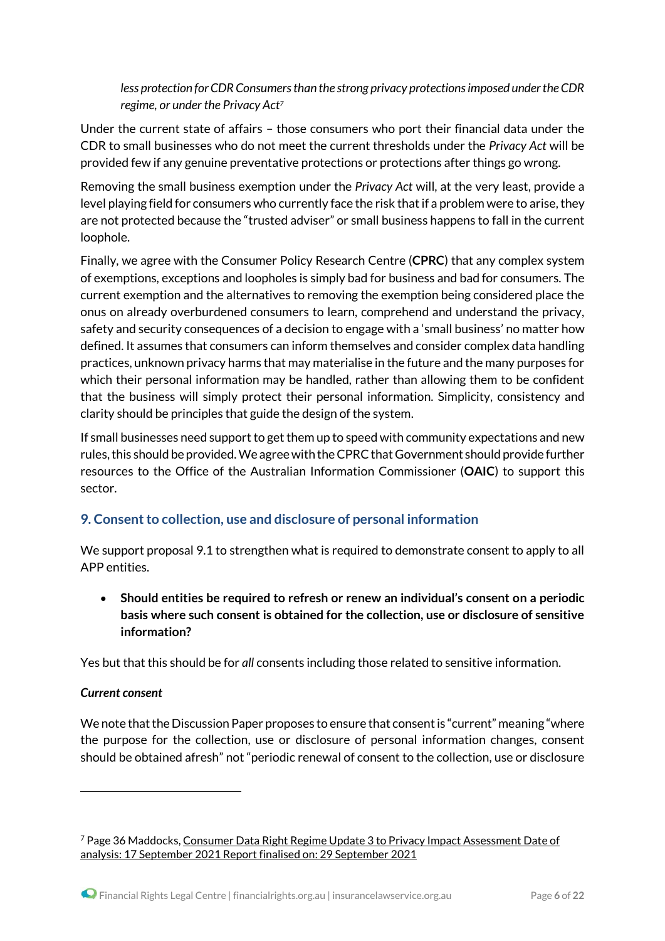*less protection for CDR Consumers than the strong privacy protections imposed under the CDR regime, or under the Privacy Act<sup>7</sup>*

Under the current state of affairs – those consumers who port their financial data under the CDR to small businesses who do not meet the current thresholds under the *Privacy Act* will be provided few if any genuine preventative protections or protections after things go wrong.

Removing the small business exemption under the *Privacy Act* will, at the very least, provide a level playing field for consumers who currently face the risk that if a problem were to arise, they are not protected because the "trusted adviser" or small business happens to fall in the current loophole.

Finally, we agree with the Consumer Policy Research Centre (**CPRC**) that any complex system of exemptions, exceptions and loopholes is simply bad for business and bad for consumers. The current exemption and the alternatives to removing the exemption being considered place the onus on already overburdened consumers to learn, comprehend and understand the privacy, safety and security consequences of a decision to engage with a 'small business' no matter how defined. It assumes that consumers can inform themselves and consider complex data handling practices, unknown privacy harms that may materialise in the future and the many purposes for which their personal information may be handled, rather than allowing them to be confident that the business will simply protect their personal information. Simplicity, consistency and clarity should be principles that guide the design of the system.

If small businesses need support to get them up to speed with community expectations and new rules, this should be provided. We agree with the CPRC that Government should provide further resources to the Office of the Australian Information Commissioner (**OAIC**) to support this sector.

## **9. Consent to collection, use and disclosure of personal information**

We support proposal 9.1 to strengthen what is required to demonstrate consent to apply to all APP entities.

 **Should entities be required to refresh or renew an individual's consent on a periodic basis where such consent is obtained for the collection, use or disclosure of sensitive information?** 

Yes but that this should be for *all* consents including those related to sensitive information.

### *Current consent*

1

We note that the Discussion Paper proposes to ensure that consent is "current" meaning "where the purpose for the collection, use or disclosure of personal information changes, consent should be obtained afresh" not "periodic renewal of consent to the collection, use or disclosure

 $7$  Page 36 Maddocks, Consumer Data Right Regime Update 3 to Privacy Impact [Assessment](https://treasury.gov.au/sites/default/files/2021-10/p2021-213006-pia-maddocks.pdf) Date of analysis: 17 September 2021 Report finalised on: 29 [September](https://treasury.gov.au/sites/default/files/2021-10/p2021-213006-pia-maddocks.pdf) 2021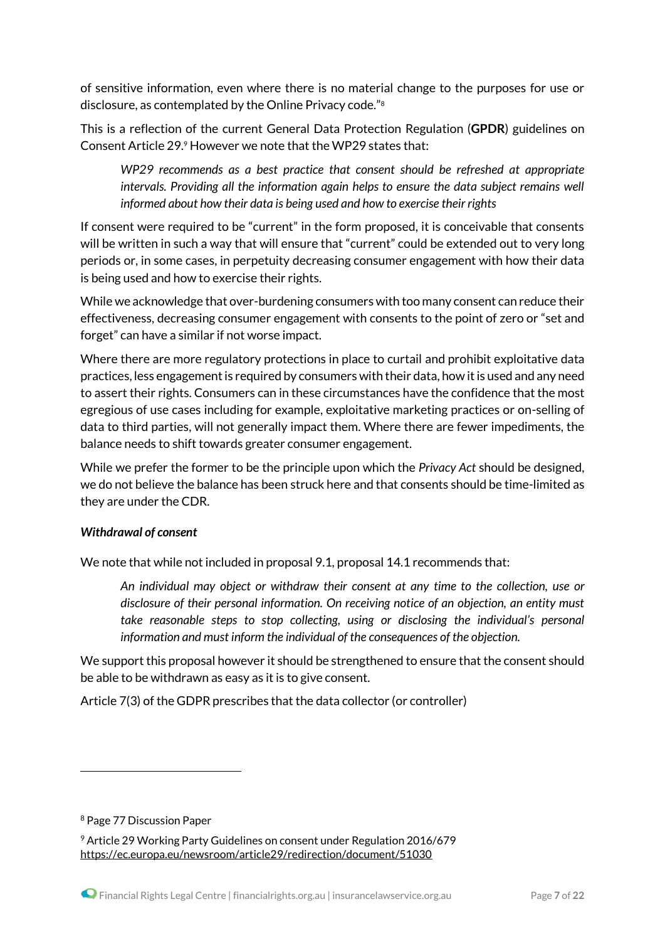of sensitive information, even where there is no material change to the purposes for use or disclosure, as contemplated by the Online Privacy code."<sup>8</sup>

This is a reflection of the current General Data Protection Regulation (**GPDR**) guidelines on Consent Article 29.<sup>9</sup> However we note that the WP29 states that:

*WP29 recommends as a best practice that consent should be refreshed at appropriate intervals. Providing all the information again helps to ensure the data subject remains well informed about how their data is being used and how to exercise their rights*

If consent were required to be "current" in the form proposed, it is conceivable that consents will be written in such a way that will ensure that "current" could be extended out to very long periods or, in some cases, in perpetuity decreasing consumer engagement with how their data is being used and how to exercise their rights.

While we acknowledge that over-burdening consumers with too many consent can reduce their effectiveness, decreasing consumer engagement with consents to the point of zero or "set and forget" can have a similar if not worse impact.

Where there are more regulatory protections in place to curtail and prohibit exploitative data practices, less engagement is required by consumers with their data, how it is used and any need to assert their rights. Consumers can in these circumstances have the confidence that the most egregious of use cases including for example, exploitative marketing practices or on-selling of data to third parties, will not generally impact them. Where there are fewer impediments, the balance needs to shift towards greater consumer engagement.

While we prefer the former to be the principle upon which the *Privacy Act* should be designed, we do not believe the balance has been struck here and that consents should be time-limited as they are under the CDR.

### *Withdrawal of consent*

We note that while not included in proposal 9.1, proposal 14.1 recommends that:

*An individual may object or withdraw their consent at any time to the collection, use or disclosure of their personal information. On receiving notice of an objection, an entity must take reasonable steps to stop collecting, using or disclosing the individual's personal information and must inform the individual of the consequences of the objection.*

We support this proposal however it should be strengthened to ensure that the consent should be able to be withdrawn as easy as it is to give consent.

Article 7(3) of the GDPR prescribes that the data collector (or controller)

<sup>8</sup> Page 77 Discussion Paper

<sup>9</sup> Article 29 Working Party Guidelines on consent under Regulation 2016/679 <https://ec.europa.eu/newsroom/article29/redirection/document/51030>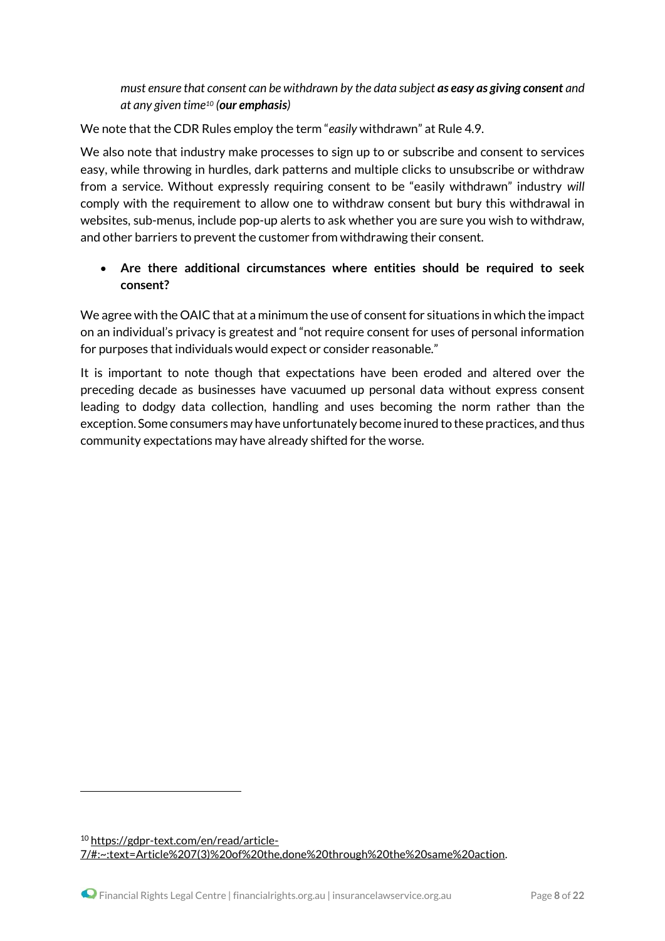*must ensure that consent can be withdrawn by the data subject as easy as giving consent and at any given time<sup>10</sup> (our emphasis)*

We note that the CDR Rules employ the term "*easily* withdrawn" at Rule 4.9.

We also note that industry make processes to sign up to or subscribe and consent to services easy, while throwing in hurdles, dark patterns and multiple clicks to unsubscribe or withdraw from a service. Without expressly requiring consent to be "easily withdrawn" industry *will* comply with the requirement to allow one to withdraw consent but bury this withdrawal in websites, sub-menus, include pop-up alerts to ask whether you are sure you wish to withdraw, and other barriers to prevent the customer from withdrawing their consent.

## **Are there additional circumstances where entities should be required to seek consent?**

We agree with the OAIC that at a minimum the use of consent for situations in which the impact on an individual's privacy is greatest and "not require consent for uses of personal information for purposes that individuals would expect or consider reasonable."

It is important to note though that expectations have been eroded and altered over the preceding decade as businesses have vacuumed up personal data without express consent leading to dodgy data collection, handling and uses becoming the norm rather than the exception. Some consumers may have unfortunately become inured to these practices, and thus community expectations may have already shifted for the worse.

<sup>10</sup> [https://gdpr-text.com/en/read/article-](https://gdpr-text.com/en/read/article-7/#:~:text=Article%207(3)%20of%20the,done%20through%20the%20same%20action)[7/#:~:text=Article%207\(3\)%20of%20the,done%20through%20the%20same%20action.](https://gdpr-text.com/en/read/article-7/#:~:text=Article%207(3)%20of%20the,done%20through%20the%20same%20action)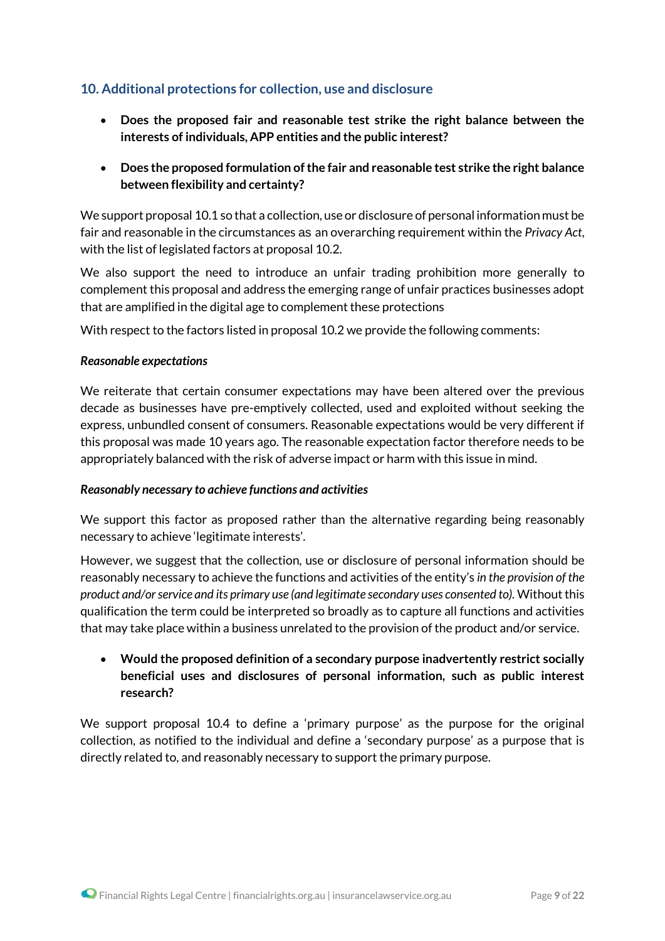## **10. Additional protections for collection, use and disclosure**

- **Does the proposed fair and reasonable test strike the right balance between the interests of individuals, APP entities and the public interest?**
- **Does the proposed formulation of the fair and reasonable test strike the right balance between flexibility and certainty?**

We support proposal 10.1 so that a collection, use or disclosure of personal information must be fair and reasonable in the circumstances as an overarching requirement within the *Privacy Act*, with the list of legislated factors at proposal 10.2.

We also support the need to introduce an unfair trading prohibition more generally to complement this proposal and address the emerging range of unfair practices businesses adopt that are amplified in the digital age to complement these protections

With respect to the factors listed in proposal 10.2 we provide the following comments:

#### *Reasonable expectations*

We reiterate that certain consumer expectations may have been altered over the previous decade as businesses have pre-emptively collected, used and exploited without seeking the express, unbundled consent of consumers. Reasonable expectations would be very different if this proposal was made 10 years ago. The reasonable expectation factor therefore needs to be appropriately balanced with the risk of adverse impact or harm with this issue in mind.

#### *Reasonably necessary to achieve functions and activities*

We support this factor as proposed rather than the alternative regarding being reasonably necessary to achieve 'legitimate interests'.

However, we suggest that the collection, use or disclosure of personal information should be reasonably necessary to achieve the functions and activities of the entity's *in the provision of the product and/or service and its primary use (and legitimate secondary uses consented to).* Without this qualification the term could be interpreted so broadly as to capture all functions and activities that may take place within a business unrelated to the provision of the product and/or service.

 **Would the proposed definition of a secondary purpose inadvertently restrict socially beneficial uses and disclosures of personal information, such as public interest research?**

We support proposal 10.4 to define a 'primary purpose' as the purpose for the original collection, as notified to the individual and define a 'secondary purpose' as a purpose that is directly related to, and reasonably necessary to support the primary purpose.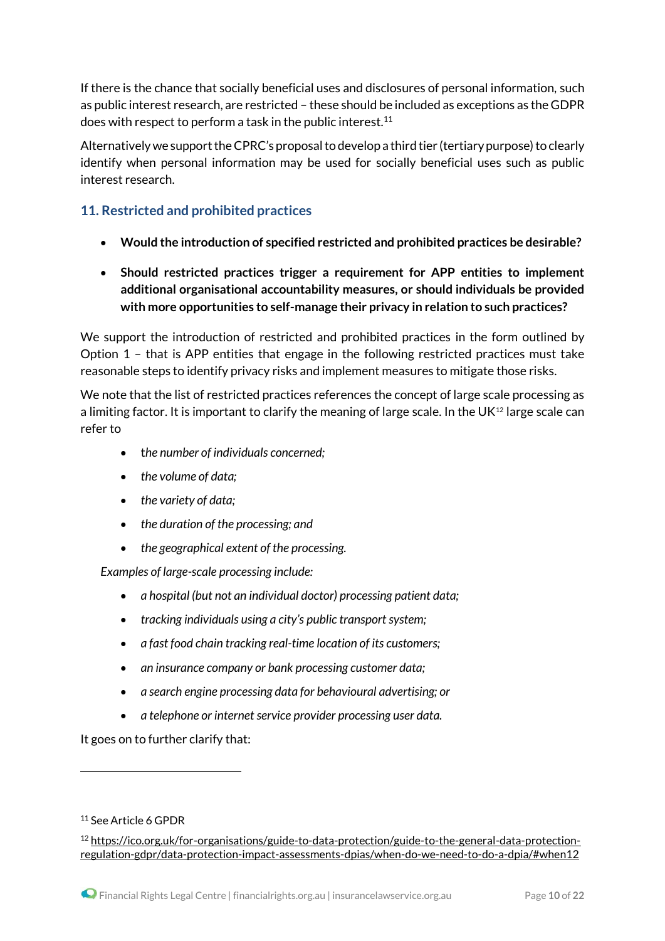If there is the chance that socially beneficial uses and disclosures of personal information, such as public interest research, are restricted – these should be included as exceptions as the GDPR does with respect to perform a task in the public interest.<sup>11</sup>

Alternatively we support the CPRC's proposal to develop a third tier (tertiary purpose) to clearly identify when personal information may be used for socially beneficial uses such as public interest research.

# **11. Restricted and prohibited practices**

- **Would the introduction of specified restricted and prohibited practices be desirable?**
- **Should restricted practices trigger a requirement for APP entities to implement additional organisational accountability measures, or should individuals be provided with more opportunities to self-manage their privacy in relation to such practices?**

We support the introduction of restricted and prohibited practices in the form outlined by Option 1 – that is APP entities that engage in the following restricted practices must take reasonable steps to identify privacy risks and implement measures to mitigate those risks.

We note that the list of restricted practices references the concept of large scale processing as a limiting factor. It is important to clarify the meaning of large scale. In the UK<sup>12</sup> large scale can refer to

- t*he number of individuals concerned;*
- *the volume of data;*
- *the variety of data;*
- *the duration of the processing; and*
- *the geographical extent of the processing.*

*Examples of large-scale processing include:*

- *a hospital (but not an individual doctor) processing patient data;*
- *tracking individuals using a city's public transport system;*
- *a fast food chain tracking real-time location of its customers;*
- *an insurance company or bank processing customer data;*
- *a search engine processing data for behavioural advertising; or*
- *a telephone or internet service provider processing user data.*

It goes on to further clarify that:

<sup>11</sup> See Article 6 GPDR

<sup>12</sup> [https://ico.org.uk/for-organisations/guide-to-data-protection/guide-to-the-general-data-protection](https://ico.org.uk/for-organisations/guide-to-data-protection/guide-to-the-general-data-protection-regulation-gdpr/data-protection-impact-assessments-dpias/when-do-we-need-to-do-a-dpia/#when12)[regulation-gdpr/data-protection-impact-assessments-dpias/when-do-we-need-to-do-a-dpia/#when12](https://ico.org.uk/for-organisations/guide-to-data-protection/guide-to-the-general-data-protection-regulation-gdpr/data-protection-impact-assessments-dpias/when-do-we-need-to-do-a-dpia/#when12)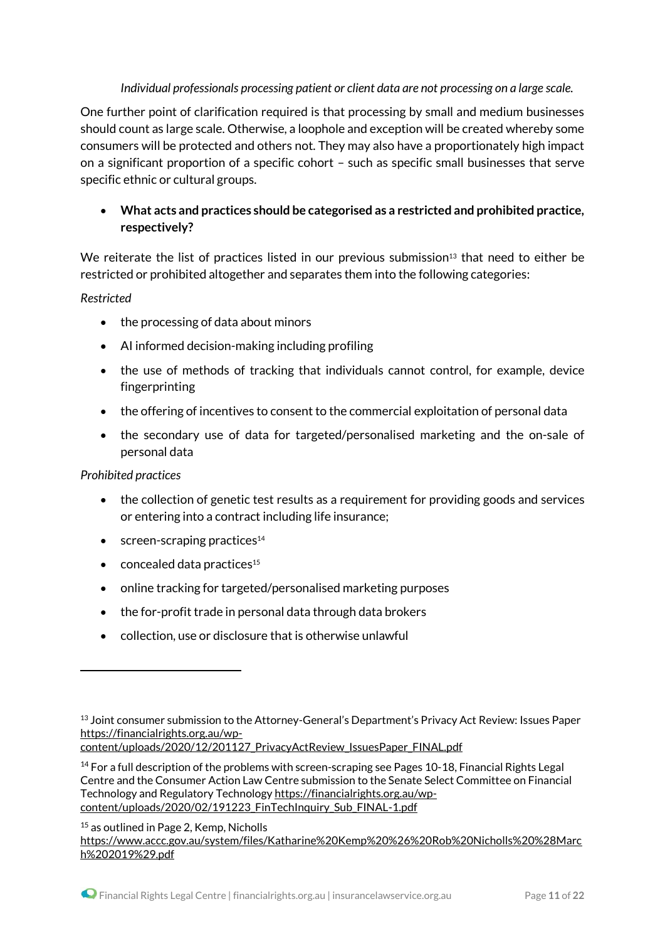#### *Individual professionals processing patient or client data are not processing on a large scale.*

One further point of clarification required is that processing by small and medium businesses should count as large scale. Otherwise, a loophole and exception will be created whereby some consumers will be protected and others not. They may also have a proportionately high impact on a significant proportion of a specific cohort – such as specific small businesses that serve specific ethnic or cultural groups.

## **What acts and practices should be categorised as a restricted and prohibited practice, respectively?**

We reiterate the list of practices listed in our previous submission<sup>13</sup> that need to either be restricted or prohibited altogether and separates them into the following categories:

#### *Restricted*

- the processing of data about minors
- AI informed decision-making including profiling
- the use of methods of tracking that individuals cannot control, for example, device fingerprinting
- the offering of incentives to consent to the commercial exploitation of personal data
- the secondary use of data for targeted/personalised marketing and the on-sale of personal data

#### *Prohibited practices*

.

- the collection of genetic test results as a requirement for providing goods and services or entering into a contract including life insurance;
- $\bullet$  screen-scraping practices<sup>14</sup>
- $\bullet$  concealed data practices<sup>15</sup>
- online tracking for targeted/personalised marketing purposes
- the for-profit trade in personal data through data brokers
- collection, use or disclosure that is otherwise unlawful

[content/uploads/2020/12/201127\\_PrivacyActReview\\_IssuesPaper\\_FINAL.pdf](https://financialrights.org.au/wp-content/uploads/2020/12/201127_PrivacyActReview_IssuesPaper_FINAL.pdf)

<sup>15</sup> as outlined in Page 2, Kemp, Nicholls [https://www.accc.gov.au/system/files/Katharine%20Kemp%20%26%20Rob%20Nicholls%20%28Marc](https://www.accc.gov.au/system/files/Katharine%20Kemp%20%26%20Rob%20Nicholls%20%28March%202019%29.pdf) [h%202019%29.pdf](https://www.accc.gov.au/system/files/Katharine%20Kemp%20%26%20Rob%20Nicholls%20%28March%202019%29.pdf)

<sup>&</sup>lt;sup>13</sup> Joint consumer submission to the Attorney-General's Department's Privacy Act Review: Issues Paper [https://financialrights.org.au/wp-](https://financialrights.org.au/wp-content/uploads/2020/12/201127_PrivacyActReview_IssuesPaper_FINAL.pdf)

<sup>14</sup> For a full description of the problems with screen-scraping see Pages 10-18, Financial Rights Legal Centre and the Consumer Action Law Centre submission to the Senate Select Committee on Financial Technology and Regulatory Technology [https://financialrights.org.au/wp](https://financialrights.org.au/wp-content/uploads/2020/02/191223_FinTechInquiry_Sub_FINAL-1.pdf)[content/uploads/2020/02/191223\\_FinTechInquiry\\_Sub\\_FINAL-1.pdf](https://financialrights.org.au/wp-content/uploads/2020/02/191223_FinTechInquiry_Sub_FINAL-1.pdf)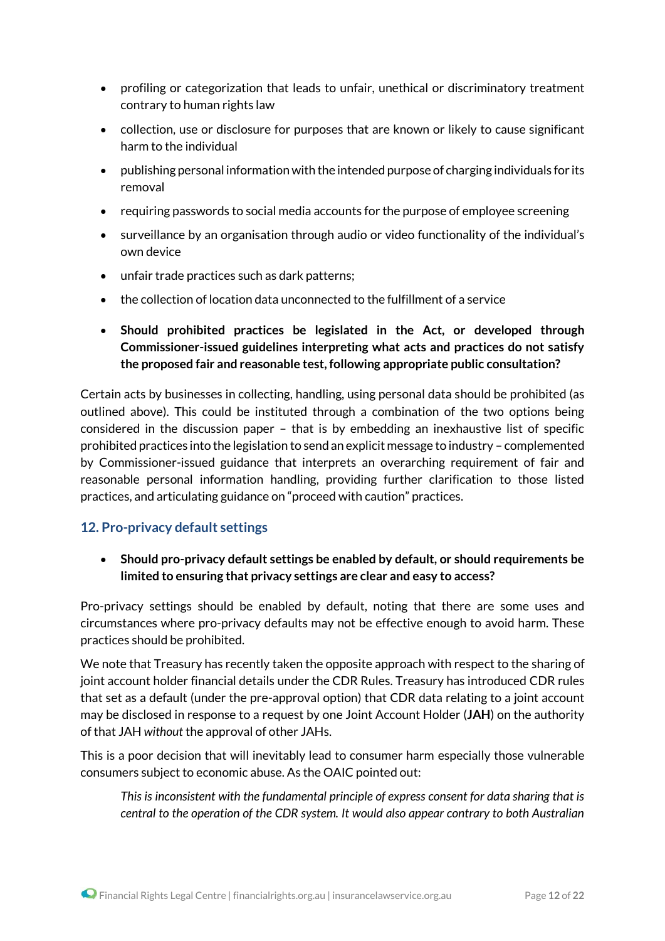- profiling or categorization that leads to unfair, unethical or discriminatory treatment contrary to human rights law
- collection, use or disclosure for purposes that are known or likely to cause significant harm to the individual
- publishing personal informationwith the intended purpose of charging individuals for its removal
- requiring passwords to social media accounts for the purpose of employee screening
- surveillance by an organisation through audio or video functionality of the individual's own device
- unfair trade practices such as dark patterns;
- the collection of location data unconnected to the fulfillment of a service
- **Should prohibited practices be legislated in the Act, or developed through Commissioner-issued guidelines interpreting what acts and practices do not satisfy the proposed fair and reasonable test, following appropriate public consultation?**

Certain acts by businesses in collecting, handling, using personal data should be prohibited (as outlined above). This could be instituted through a combination of the two options being considered in the discussion paper – that is by embedding an inexhaustive list of specific prohibited practices into the legislation to send an explicit message to industry – complemented by Commissioner-issued guidance that interprets an overarching requirement of fair and reasonable personal information handling, providing further clarification to those listed practices, and articulating guidance on "proceed with caution" practices.

### **12. Pro-privacy default settings**

 **Should pro-privacy default settings be enabled by default, or should requirements be limited to ensuring that privacy settings are clear and easy to access?**

Pro-privacy settings should be enabled by default, noting that there are some uses and circumstances where pro-privacy defaults may not be effective enough to avoid harm. These practices should be prohibited.

We note that Treasury has recently taken the opposite approach with respect to the sharing of joint account holder financial details under the CDR Rules. Treasury has introduced CDR rules that set as a default (under the pre-approval option) that CDR data relating to a joint account may be disclosed in response to a request by one Joint Account Holder (**JAH**) on the authority of that JAH *without* the approval of other JAHs.

This is a poor decision that will inevitably lead to consumer harm especially those vulnerable consumers subject to economic abuse. As the OAIC pointed out:

*This is inconsistent with the fundamental principle of express consent for data sharing that is central to the operation of the CDR system. It would also appear contrary to both Australian*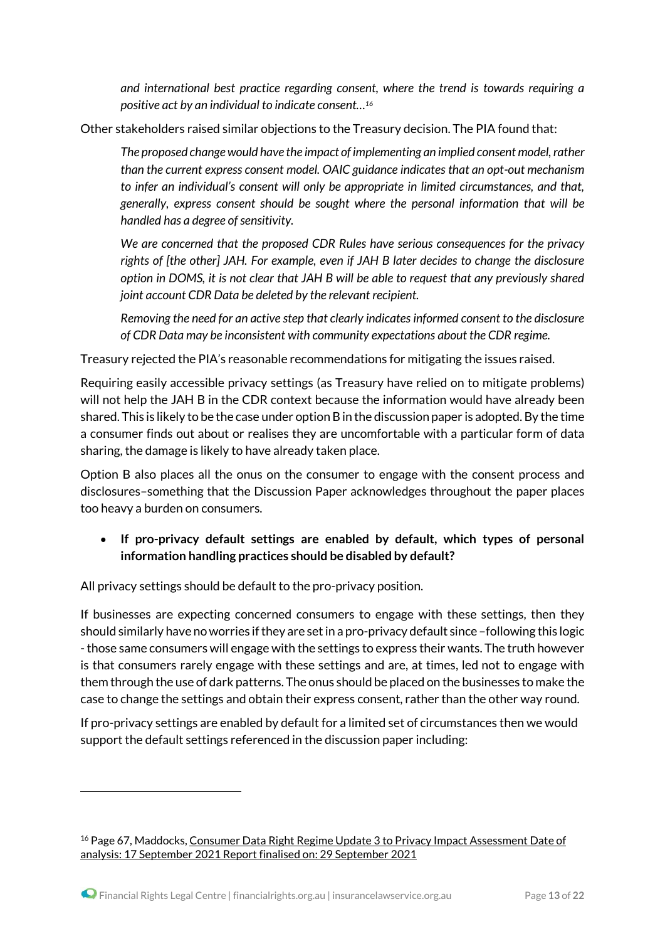*and international best practice regarding consent, where the trend is towards requiring a positive act by an individual to indicate consent…<sup>16</sup>*

Other stakeholders raised similar objections to the Treasury decision. The PIA found that:

*The proposed change would have the impact of implementing an implied consent model, rather than the current express consent model. OAIC guidance indicates that an opt-out mechanism to infer an individual's consent will only be appropriate in limited circumstances, and that, generally, express consent should be sought where the personal information that will be handled has a degree of sensitivity.*

*We are concerned that the proposed CDR Rules have serious consequences for the privacy rights of [the other] JAH. For example, even if JAH B later decides to change the disclosure option in DOMS, it is not clear that JAH B will be able to request that any previously shared joint account CDR Data be deleted by the relevant recipient.*

*Removing the need for an active step that clearly indicates informed consent to the disclosure of CDR Data may be inconsistent with community expectations about the CDR regime.* 

Treasury rejected the PIA's reasonable recommendations for mitigating the issues raised.

Requiring easily accessible privacy settings (as Treasury have relied on to mitigate problems) will not help the JAH B in the CDR context because the information would have already been shared. This is likely to be the case under option B in the discussion paper is adopted. By the time a consumer finds out about or realises they are uncomfortable with a particular form of data sharing, the damage is likely to have already taken place.

Option B also places all the onus on the consumer to engage with the consent process and disclosures–something that the Discussion Paper acknowledges throughout the paper places too heavy a burden on consumers.

## **If pro-privacy default settings are enabled by default, which types of personal information handling practices should be disabled by default?**

All privacy settings should be default to the pro-privacy position.

If businesses are expecting concerned consumers to engage with these settings, then they should similarly have no worries if they are set in a pro-privacy default since –following this logic -those same consumers will engage with the settings to express their wants. The truth however is that consumers rarely engage with these settings and are, at times, led not to engage with them through the use of dark patterns. The onus should be placed on the businesses to make the case to change the settings and obtain their express consent, rather than the other way round.

If pro-privacy settings are enabled by default for a limited set of circumstances then we would support the default settings referenced in the discussion paper including:

<sup>&</sup>lt;sup>16</sup> Page 67, Maddocks, Consumer Data Right Regime Update 3 to Privacy Impact [Assessment](https://treasury.gov.au/sites/default/files/2021-10/p2021-213006-pia-maddocks.pdf) Date of analysis: 17 September 2021 Report finalised on: 29 [September](https://treasury.gov.au/sites/default/files/2021-10/p2021-213006-pia-maddocks.pdf) 2021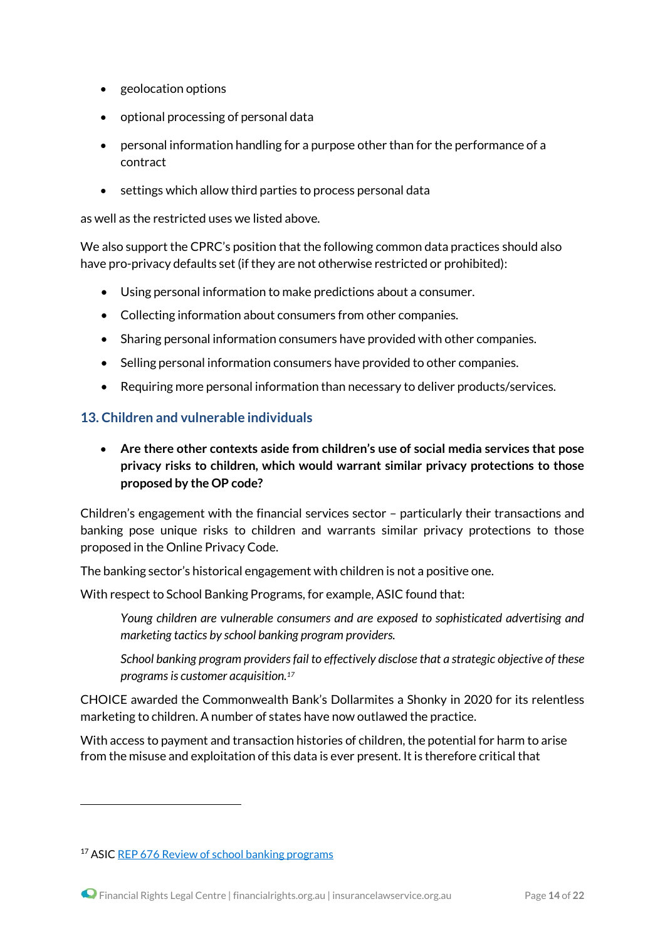- geolocation options
- optional processing of personal data
- personal information handling for a purpose other than for the performance of a contract
- settings which allow third parties to process personal data

as well as the restricted uses we listed above.

We also support the CPRC's position that the following common data practices should also have pro-privacy defaults set (if they are not otherwise restricted or prohibited):

- Using personal information to make predictions about a consumer.
- Collecting information about consumers from other companies.
- Sharing personal information consumers have provided with other companies.
- Selling personal information consumers have provided to other companies.
- Requiring more personal information than necessary to deliver products/services.

#### **13. Children and vulnerable individuals**

 **Are there other contexts aside from children's use of social media services that pose privacy risks to children, which would warrant similar privacy protections to those proposed by the OP code?**

Children's engagement with the financial services sector – particularly their transactions and banking pose unique risks to children and warrants similar privacy protections to those proposed in the Online Privacy Code.

The banking sector's historical engagement with children is not a positive one.

With respect to School Banking Programs, for example, ASIC found that:

*Young children are vulnerable consumers and are exposed to sophisticated advertising and marketing tactics by school banking program providers.*

*School banking program providers fail to effectively disclose that a strategic objective of these programs is customer acquisition.<sup>17</sup>*

CHOICE awarded the Commonwealth Bank's Dollarmites a Shonky in 2020 for its relentless marketing to children. A number of states have now outlawed the practice.

With access to payment and transaction histories of children, the potential for harm to arise from the misuse and exploitation of this data is ever present. It is therefore critical that

<sup>17</sup> ASIC REP 676 Review of school banking [programs](https://asic.gov.au/regulatory-resources/find-a-document/reports/rep-676-review-of-school-banking-programs/)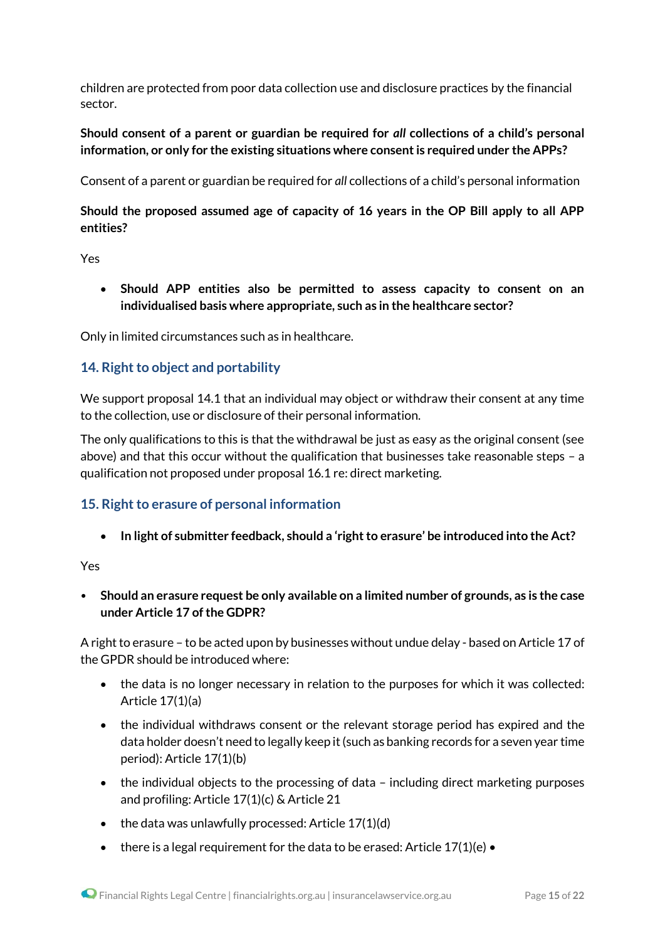children are protected from poor data collection use and disclosure practices by the financial sector.

### **Should consent of a parent or guardian be required for** *all* **collections of a child's personal information, or only for the existing situations where consent is required under the APPs?**

Consent of a parent or guardian be required for *all* collections of a child's personal information

## **Should the proposed assumed age of capacity of 16 years in the OP Bill apply to all APP entities?**

Yes

 **Should APP entities also be permitted to assess capacity to consent on an individualised basis where appropriate, such as in the healthcare sector?**

Only in limited circumstances such as in healthcare.

### **14. Right to object and portability**

We support proposal 14.1 that an individual may object or withdraw their consent at any time to the collection, use or disclosure of their personal information.

The only qualifications to this is that the withdrawal be just as easy as the original consent (see above) and that this occur without the qualification that businesses take reasonable steps – a qualification not proposed under proposal 16.1 re: direct marketing.

## **15. Right to erasure of personal information**

**In light of submitter feedback, should a 'right to erasure' be introduced into the Act?** 

Yes

• **Should an erasure request be only available on a limited number of grounds, as is the case under Article 17 of the GDPR?**

A right to erasure – to be acted upon by businesses without undue delay - based on Article 17 of the GPDR should be introduced where:

- the data is no longer necessary in relation to the purposes for which it was collected: Article 17(1)(a)
- the individual withdraws consent or the relevant storage period has expired and the data holder doesn't need to legally keep it(such as banking records for a seven year time period): Article 17(1)(b)
- the individual objects to the processing of data including direct marketing purposes and profiling: Article 17(1)(c) & Article 21
- $\bullet$  the data was unlawfully processed: Article 17(1)(d)
- there is a legal requirement for the data to be erased: Article  $17(1)(e)$  •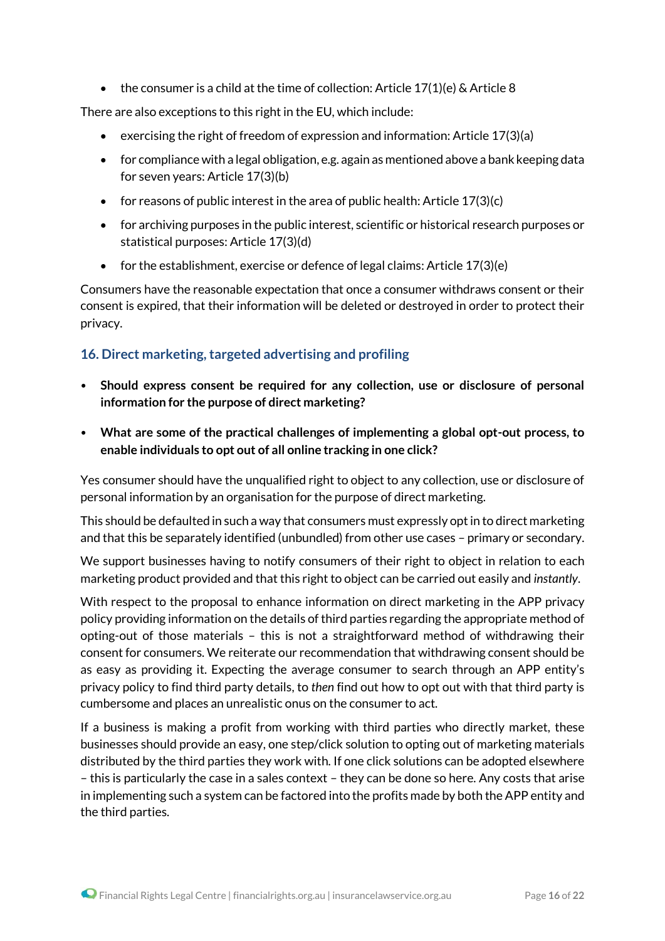• the consumer is a child at the time of collection: Article  $17(1)(e)$  & Article 8

There are also exceptions to this right in the EU, which include:

- exercising the right of freedom of expression and information: Article  $17(3)(a)$
- for compliance with a legal obligation, e.g. again as mentioned above a bank keeping data for seven years: Article 17(3)(b)
- for reasons of public interest in the area of public health: Article  $17(3)(c)$
- for archiving purposes in the public interest, scientific or historical research purposes or statistical purposes: Article 17(3)(d)
- $\bullet$  for the establishment, exercise or defence of legal claims: Article 17(3)(e)

Consumers have the reasonable expectation that once a consumer withdraws consent or their consent is expired, that their information will be deleted or destroyed in order to protect their privacy.

## **16. Direct marketing, targeted advertising and profiling**

- **Should express consent be required for any collection, use or disclosure of personal information for the purpose of direct marketing?**
- **What are some of the practical challenges of implementing a global opt-out process, to enable individuals to opt out of all online tracking in one click?**

Yes consumer should have the unqualified right to object to any collection, use or disclosure of personal information by an organisation for the purpose of direct marketing.

This should be defaulted in such a way that consumers must expressly opt in to direct marketing and that this be separately identified (unbundled) from other use cases – primary or secondary.

We support businesses having to notify consumers of their right to object in relation to each marketing product provided and that this right to object can be carried out easily and *instantly*.

With respect to the proposal to enhance information on direct marketing in the APP privacy policy providing information on the details of third parties regarding the appropriate method of opting-out of those materials – this is not a straightforward method of withdrawing their consent for consumers. We reiterate our recommendation that withdrawing consent should be as easy as providing it. Expecting the average consumer to search through an APP entity's privacy policy to find third party details, to *then* find out how to opt out with that third party is cumbersome and places an unrealistic onus on the consumer to act.

If a business is making a profit from working with third parties who directly market, these businesses should provide an easy, one step/click solution to opting out of marketing materials distributed by the third parties they work with. If one click solutions can be adopted elsewhere – this is particularly the case in a sales context – they can be done so here. Any costs that arise in implementing such a system can be factored into the profits made by both the APP entity and the third parties.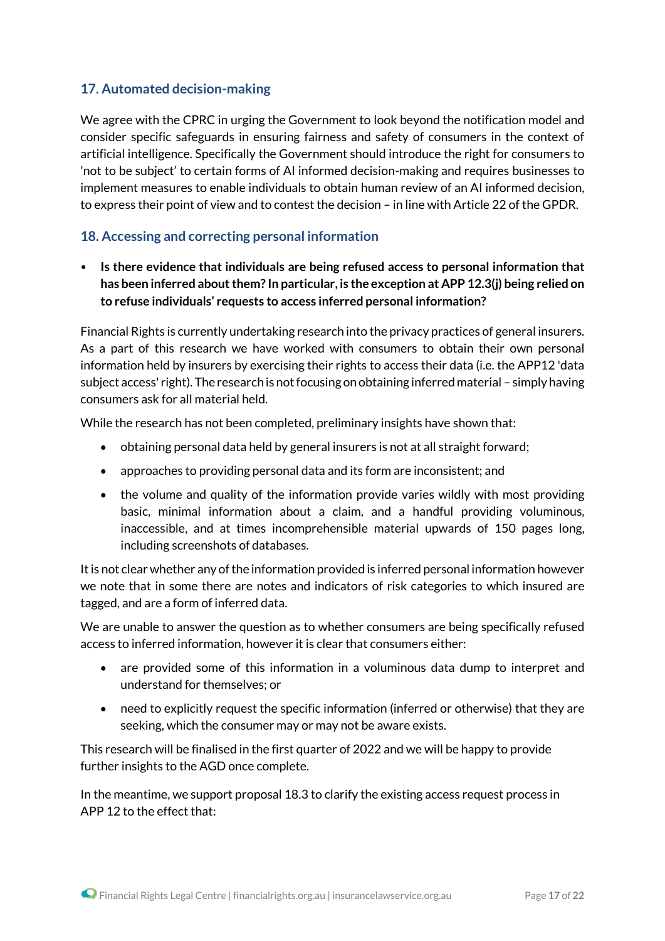## **17. Automated decision-making**

We agree with the CPRC in urging the Government to look beyond the notification model and consider specific safeguards in ensuring fairness and safety of consumers in the context of artificial intelligence. Specifically the Government should introduce the right for consumers to 'not to be subject' to certain forms of AI informed decision-making and requires businesses to implement measures to enable individuals to obtain human review of an AI informed decision, to express their point of view and to contest the decision – in line with Article 22 of the GPDR.

## **18. Accessing and correcting personal information**

• **Is there evidence that individuals are being refused access to personal information that has been inferred about them? In particular, is the exception at APP 12.3(j) being relied on to refuse individuals' requests to access inferred personal information?**

Financial Rights is currently undertaking research into the privacy practices of general insurers. As a part of this research we have worked with consumers to obtain their own personal information held by insurers by exercising their rights to access their data (i.e. the APP12 'data subject access' right). The research is not focusing on obtaining inferred material – simply having consumers ask for all material held.

While the research has not been completed, preliminary insights have shown that:

- obtaining personal data held by general insurers is not at all straight forward;
- approaches to providing personal data and its form are inconsistent; and
- the volume and quality of the information provide varies wildly with most providing basic, minimal information about a claim, and a handful providing voluminous, inaccessible, and at times incomprehensible material upwards of 150 pages long, including screenshots of databases.

It is not clear whether any of the information provided is inferred personal information however we note that in some there are notes and indicators of risk categories to which insured are tagged, and are a form of inferred data.

We are unable to answer the question as to whether consumers are being specifically refused access to inferred information, however it is clear that consumers either:

- are provided some of this information in a voluminous data dump to interpret and understand for themselves; or
- need to explicitly request the specific information (inferred or otherwise) that they are seeking, which the consumer may or may not be aware exists.

This research will be finalised in the first quarter of 2022 and we will be happy to provide further insights to the AGD once complete.

In the meantime, we support proposal 18.3 to clarify the existing access request process in APP 12 to the effect that: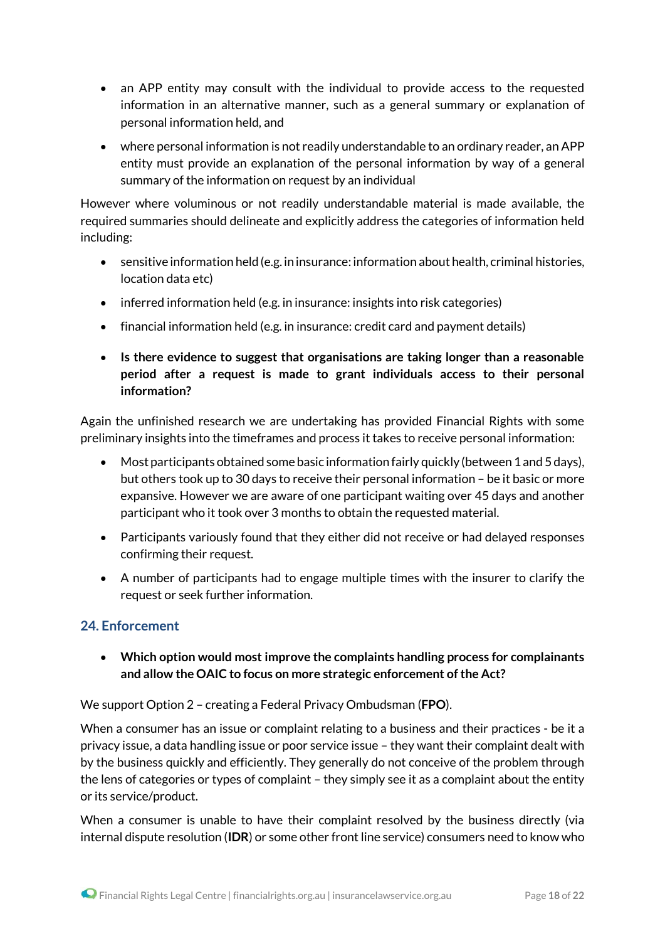- an APP entity may consult with the individual to provide access to the requested information in an alternative manner, such as a general summary or explanation of personal information held, and
- where personal information is not readily understandable to an ordinary reader, an APP entity must provide an explanation of the personal information by way of a general summary of the information on request by an individual

However where voluminous or not readily understandable material is made available, the required summaries should delineate and explicitly address the categories of information held including:

- sensitive information held (e.g. in insurance: information about health, criminal histories, location data etc)
- inferred information held (e.g. in insurance: insights into risk categories)
- financial information held (e.g. in insurance: credit card and payment details)
- **Is there evidence to suggest that organisations are taking longer than a reasonable period after a request is made to grant individuals access to their personal information?**

Again the unfinished research we are undertaking has provided Financial Rights with some preliminary insights into the timeframes and process it takes to receive personal information:

- Most participants obtained some basic information fairly quickly (between 1 and 5 days), but others took up to 30 days to receive their personal information – be it basic or more expansive. However we are aware of one participant waiting over 45 days and another participant who it took over 3 months to obtain the requested material.
- Participants variously found that they either did not receive or had delayed responses confirming their request.
- A number of participants had to engage multiple times with the insurer to clarify the request or seek further information.

## **24. Enforcement**

 **Which option would most improve the complaints handling process for complainants and allow the OAIC to focus on more strategic enforcement of the Act?**

We support Option 2 – creating a Federal Privacy Ombudsman (**FPO**).

When a consumer has an issue or complaint relating to a business and their practices - be it a privacy issue, a data handling issue or poor service issue – they want their complaint dealt with by the business quickly and efficiently. They generally do not conceive of the problem through the lens of categories or types of complaint – they simply see it as a complaint about the entity or its service/product.

When a consumer is unable to have their complaint resolved by the business directly (via internal dispute resolution (**IDR**) or some other front line service) consumers need to know who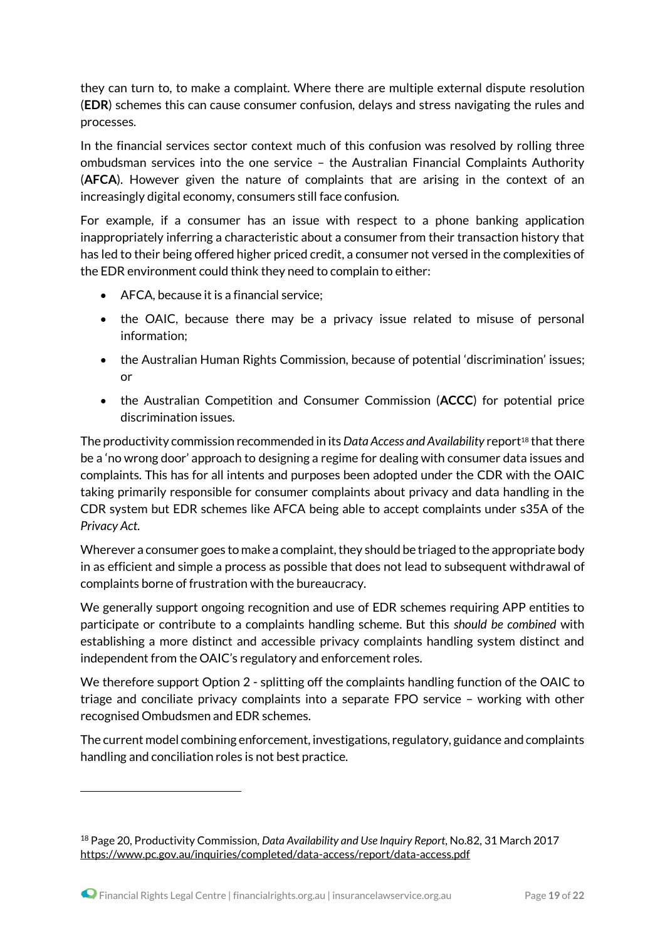they can turn to, to make a complaint. Where there are multiple external dispute resolution (**EDR**) schemes this can cause consumer confusion, delays and stress navigating the rules and processes.

In the financial services sector context much of this confusion was resolved by rolling three ombudsman services into the one service – the Australian Financial Complaints Authority (**AFCA**). However given the nature of complaints that are arising in the context of an increasingly digital economy, consumers still face confusion.

For example, if a consumer has an issue with respect to a phone banking application inappropriately inferring a characteristic about a consumer from their transaction history that has led to their being offered higher priced credit, a consumer not versed in the complexities of the EDR environment could think they need to complain to either:

- $\bullet$  AFCA, because it is a financial service:
- the OAIC, because there may be a privacy issue related to misuse of personal information;
- the Australian Human Rights Commission, because of potential 'discrimination' issues; or
- the Australian Competition and Consumer Commission (**ACCC**) for potential price discrimination issues.

The productivity commission recommended in its *Data Access and Availability* report<sup>18</sup> that there be a 'no wrong door' approach to designing a regime for dealing with consumer data issues and complaints. This has for all intents and purposes been adopted under the CDR with the OAIC taking primarily responsible for consumer complaints about privacy and data handling in the CDR system but EDR schemes like AFCA being able to accept complaints under s35A of the *Privacy Act*.

Wherever a consumer goes to make a complaint, they should be triaged to the appropriate body in as efficient and simple a process as possible that does not lead to subsequent withdrawal of complaints borne of frustration with the bureaucracy.

We generally support ongoing recognition and use of EDR schemes requiring APP entities to participate or contribute to a complaints handling scheme. But this *should be combined* with establishing a more distinct and accessible privacy complaints handling system distinct and independent from the OAIC's regulatory and enforcement roles.

We therefore support Option 2 - splitting off the complaints handling function of the OAIC to triage and conciliate privacy complaints into a separate FPO service – working with other recognised Ombudsmen and EDR schemes.

The current model combining enforcement, investigations, regulatory, guidance and complaints handling and conciliation roles is not best practice.

<sup>18</sup> Page 20, Productivity Commission, *Data Availability and Use Inquiry Report*, No.82, 31 March 2017 <https://www.pc.gov.au/inquiries/completed/data-access/report/data-access.pdf>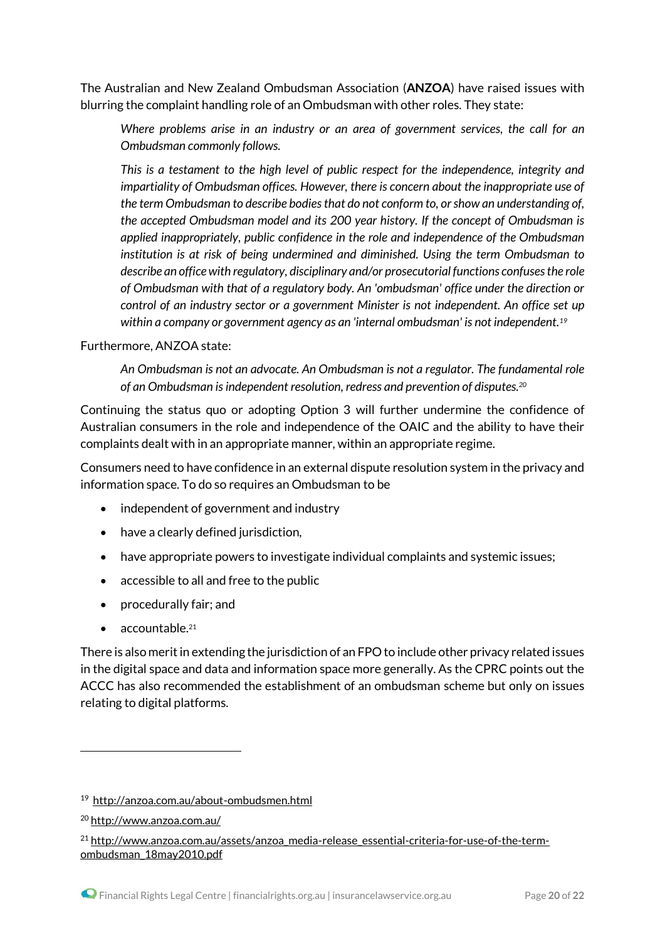The Australian and New Zealand Ombudsman Association (**ANZOA**) have raised issues with blurring the complaint handling role of an Ombudsman with other roles. They state:

*Where problems arise in an industry or an area of government services, the call for an Ombudsman commonly follows.*

*This is a testament to the high level of public respect for the independence, integrity and impartiality of Ombudsman offices. However, there is concern about the inappropriate use of the term Ombudsman to describe bodies that do not conform to, or show an understanding of, the accepted Ombudsman model and its 200 year history. If the concept of Ombudsman is applied inappropriately, public confidence in the role and independence of the Ombudsman institution is at risk of being undermined and diminished. Using the term Ombudsman to describe an office with regulatory, disciplinary and/or prosecutorial functions confuses the role of Ombudsman with that of a regulatory body. An 'ombudsman' office under the direction or control of an industry sector or a government Minister is not independent. An office set up within a company or government agency as an 'internal ombudsman' is not independent.<sup>19</sup>*

#### Furthermore, ANZOA state:

*An Ombudsman is not an advocate. An Ombudsman is not a regulator. The fundamental role of an Ombudsman is independent resolution, redress and prevention of disputes.<sup>20</sup>*

Continuing the status quo or adopting Option 3 will further undermine the confidence of Australian consumers in the role and independence of the OAIC and the ability to have their complaints dealt with in an appropriate manner, within an appropriate regime.

Consumers need to have confidence in an external dispute resolution system in the privacy and information space. To do so requires an Ombudsman to be

- independent of government and industry
- have a clearly defined jurisdiction,
- have appropriate powers to investigate individual complaints and systemic issues;
- accessible to all and free to the public
- procedurally fair; and
- accountable.<sup>21</sup>

There is also merit in extending the jurisdiction of an FPO to include other privacy related issues in the digital space and data and information space more generally. As the CPRC points out the ACCC has also recommended the establishment of an ombudsman scheme but only on issues relating to digital platforms.

<sup>19</sup> <http://anzoa.com.au/about-ombudsmen.html>

<sup>20</sup> <http://www.anzoa.com.au/>

<sup>&</sup>lt;sup>21</sup> [http://www.anzoa.com.au/assets/anzoa\\_media-release\\_essential-criteria-for-use-of-the-term](http://www.anzoa.com.au/assets/anzoa_media-release_essential-criteria-for-use-of-the-term-ombudsman_18may2010.pdf)[ombudsman\\_18may2010.pdf](http://www.anzoa.com.au/assets/anzoa_media-release_essential-criteria-for-use-of-the-term-ombudsman_18may2010.pdf)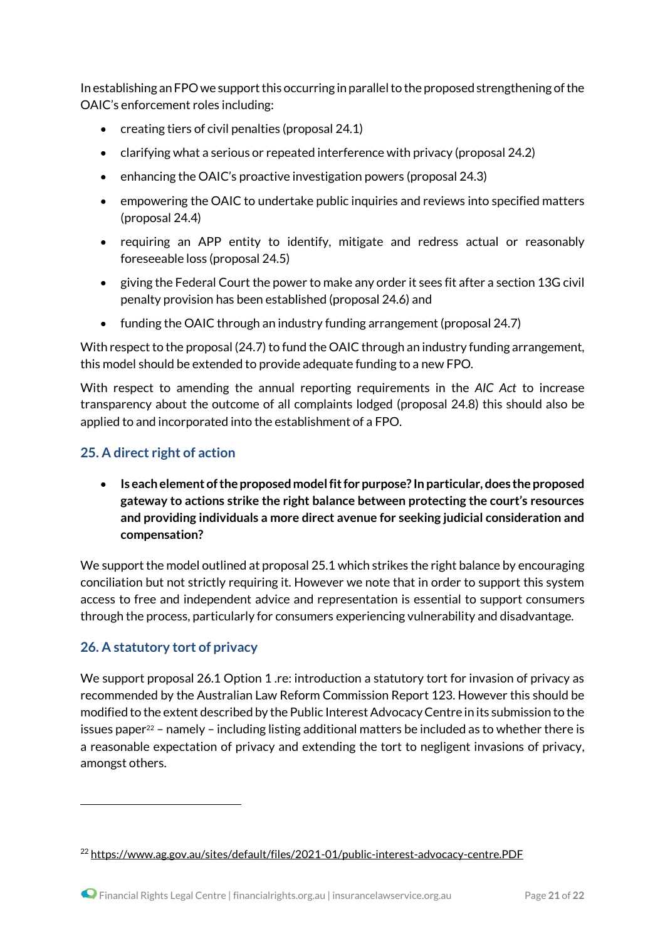In establishing an FPO we support this occurring in parallel to the proposed strengthening of the OAIC's enforcement roles including:

- creating tiers of civil penalties (proposal 24.1)
- clarifying what a serious or repeated interference with privacy (proposal 24.2)
- enhancing the OAIC's proactive investigation powers (proposal 24.3)
- empowering the OAIC to undertake public inquiries and reviews into specified matters (proposal 24.4)
- requiring an APP entity to identify, mitigate and redress actual or reasonably foreseeable loss (proposal 24.5)
- giving the Federal Court the power to make any order it sees fit after a section 13G civil penalty provision has been established (proposal 24.6) and
- funding the OAIC through an industry funding arrangement(proposal 24.7)

With respect to the proposal (24.7) to fund the OAIC through an industry funding arrangement, this model should be extended to provide adequate funding to a new FPO.

With respect to amending the annual reporting requirements in the *AIC Act* to increase transparency about the outcome of all complaints lodged (proposal 24.8) this should also be applied to and incorporated into the establishment of a FPO.

## **25. A direct right of action**

 **Is each element of the proposed model fit for purpose? In particular, does the proposed gateway to actions strike the right balance between protecting the court's resources and providing individuals a more direct avenue for seeking judicial consideration and compensation?**

We support the model outlined at proposal 25.1 which strikes the right balance by encouraging conciliation but not strictly requiring it. However we note that in order to support this system access to free and independent advice and representation is essential to support consumers through the process, particularly for consumers experiencing vulnerability and disadvantage.

### **26. A statutory tort of privacy**

1

We support proposal 26.1 Option 1 .re: introduction a statutory tort for invasion of privacy as recommended by the Australian Law Reform Commission Report 123. However this should be modified to the extent described by the Public Interest Advocacy Centre in its submission to the issues paper<sup>22</sup> – namely – including listing additional matters be included as to whether there is a reasonable expectation of privacy and extending the tort to negligent invasions of privacy, amongst others.

<sup>22</sup> <https://www.ag.gov.au/sites/default/files/2021-01/public-interest-advocacy-centre.PDF>